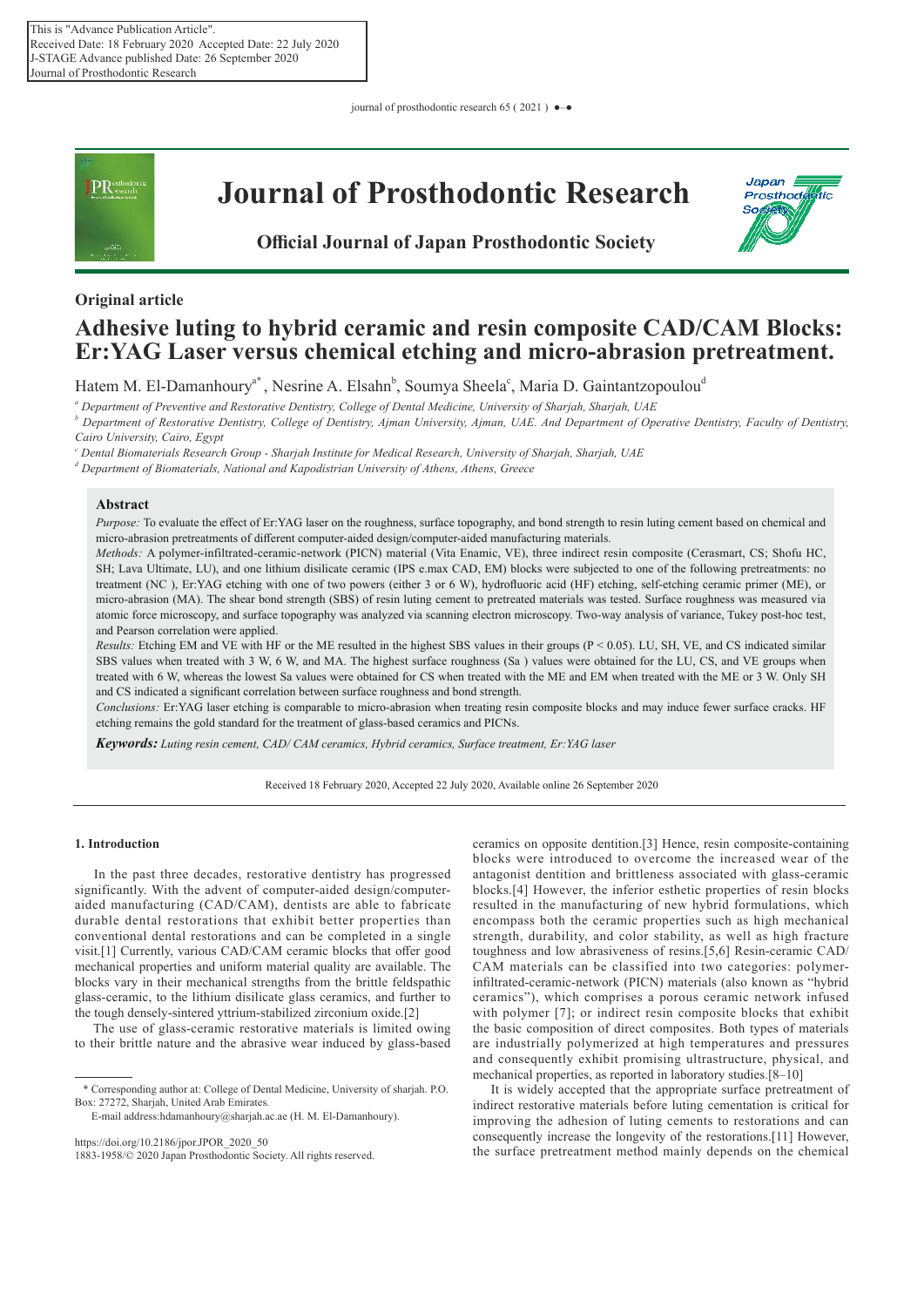journal of prosthodontic research 65 ( 2021 ) ●–●



## **Original article**

# **Adhesive luting to hybrid ceramic and resin composite CAD/CAM Blocks: Er:YAG Laser versus chemical etching and micro-abrasion pretreatment.**

Hatem M. El-Damanhoury<sup>a\*</sup>, Nesrine A. Elsahn<sup>b</sup>, Soumya Sheela<sup>c</sup>, Maria D. Gaintantzopoulou<sup>d</sup>

*a Department of Preventive and Restorative Dentistry, College of Dental Medicine, University of Sharjah, Sharjah, UAE*

<sup>*b*</sup> Department of Restorative Dentistry, College of Dentistry, Ajman University, Ajman, UAE. And Department of Operative Dentistry, Faculty of Dentistry, *Cairo University, Cairo, Egypt*

*c Dental Biomaterials Research Group - Sharjah Institute for Medical Research, University of Sharjah, Sharjah, UAE*

*d Department of Biomaterials, National and Kapodistrian University of Athens, Athens, Greece*

## **Abstract**

*Purpose:* To evaluate the effect of Er:YAG laser on the roughness, surface topography, and bond strength to resin luting cement based on chemical and micro-abrasion pretreatments of different computer-aided design/computer-aided manufacturing materials.

*Methods:* A polymer-infiltrated-ceramic-network (PICN) material (Vita Enamic, VE), three indirect resin composite (Cerasmart, CS; Shofu HC, SH; Lava Ultimate, LU), and one lithium disilicate ceramic (IPS e.max CAD, EM) blocks were subjected to one of the following pretreatments: no treatment (NC ), Er:YAG etching with one of two powers (either 3 or 6 W), hydrofluoric acid (HF) etching, self-etching ceramic primer (ME), or micro-abrasion (MA). The shear bond strength (SBS) of resin luting cement to pretreated materials was tested. Surface roughness was measured via atomic force microscopy, and surface topography was analyzed via scanning electron microscopy. Two-way analysis of variance, Tukey post-hoc test, and Pearson correlation were applied.

*Results:* Etching EM and VE with HF or the ME resulted in the highest SBS values in their groups (P < 0.05). LU, SH, VE, and CS indicated similar SBS values when treated with 3 W, 6 W, and MA. The highest surface roughness (Sa ) values were obtained for the LU, CS, and VE groups when treated with 6 W, whereas the lowest Sa values were obtained for CS when treated with the ME and EM when treated with the ME or 3 W. Only SH and CS indicated a significant correlation between surface roughness and bond strength.

*Conclusions:* Er:YAG laser etching is comparable to micro-abrasion when treating resin composite blocks and may induce fewer surface cracks. HF etching remains the gold standard for the treatment of glass-based ceramics and PICNs.

*Keywords: Luting resin cement, CAD/ CAM ceramics, Hybrid ceramics, Surface treatment, Er:YAG laser*

Received 18 February 2020, Accepted 22 July 2020, Available online 26 September 2020

## **1. Introduction**

In the past three decades, restorative dentistry has progressed significantly. With the advent of computer-aided design/computeraided manufacturing (CAD/CAM), dentists are able to fabricate durable dental restorations that exhibit better properties than conventional dental restorations and can be completed in a single visit.[1] Currently, various CAD/CAM ceramic blocks that offer good mechanical properties and uniform material quality are available. The blocks vary in their mechanical strengths from the brittle feldspathic glass-ceramic, to the lithium disilicate glass ceramics, and further to the tough densely-sintered yttrium-stabilized zirconium oxide.[2]

 The use of glass-ceramic restorative materials is limited owing to their brittle nature and the abrasive wear induced by glass-based

https://doi.org/10.2186/jpor.JPOR\_2020\_50

1883-1958/© 2020 Japan Prosthodontic Society. All rights reserved.

ceramics on opposite dentition.[3] Hence, resin composite-containing blocks were introduced to overcome the increased wear of the antagonist dentition and brittleness associated with glass-ceramic blocks.[4] However, the inferior esthetic properties of resin blocks resulted in the manufacturing of new hybrid formulations, which encompass both the ceramic properties such as high mechanical strength, durability, and color stability, as well as high fracture toughness and low abrasiveness of resins.[5,6] Resin-ceramic CAD/ CAM materials can be classified into two categories: polymerinfiltrated-ceramic-network (PICN) materials (also known as "hybrid ceramics"), which comprises a porous ceramic network infused with polymer [7]; or indirect resin composite blocks that exhibit the basic composition of direct composites. Both types of materials are industrially polymerized at high temperatures and pressures and consequently exhibit promising ultrastructure, physical, and mechanical properties, as reported in laboratory studies.[8–10]

 It is widely accepted that the appropriate surface pretreatment of indirect restorative materials before luting cementation is critical for improving the adhesion of luting cements to restorations and can consequently increase the longevity of the restorations.[11] However, the surface pretreatment method mainly depends on the chemical

<sup>\*</sup> Corresponding author at: College of Dental Medicine, University of sharjah. P.O. Box: 27272, Sharjah, United Arab Emirates.

E-mail address:hdamanhoury@sharjah.ac.ae (H. M. El-Damanhoury).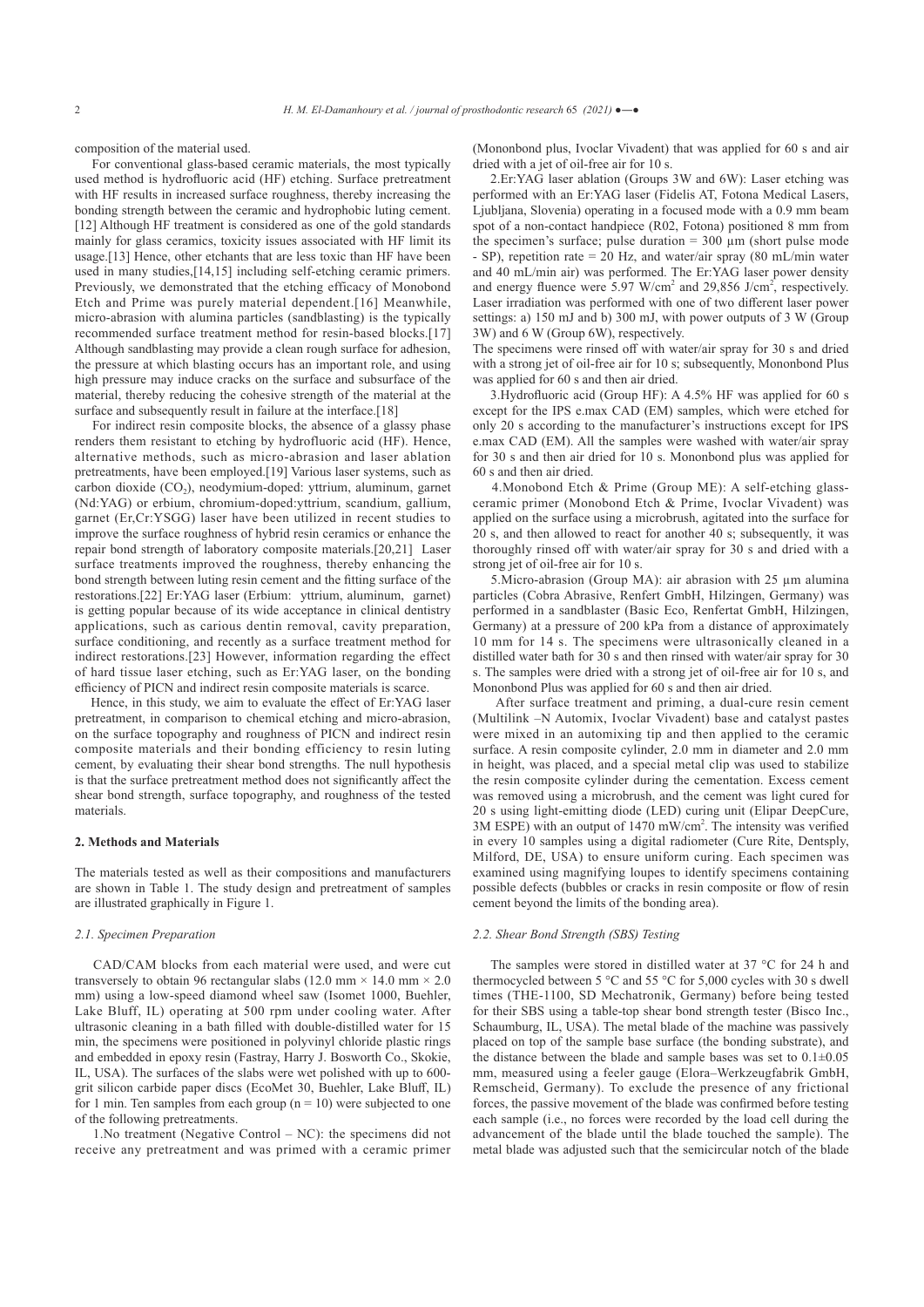composition of the material used.

 For conventional glass-based ceramic materials, the most typically used method is hydrofluoric acid (HF) etching. Surface pretreatment with HF results in increased surface roughness, thereby increasing the bonding strength between the ceramic and hydrophobic luting cement. [12] Although HF treatment is considered as one of the gold standards mainly for glass ceramics, toxicity issues associated with HF limit its usage.[13] Hence, other etchants that are less toxic than HF have been used in many studies,[14,15] including self-etching ceramic primers. Previously, we demonstrated that the etching efficacy of Monobond Etch and Prime was purely material dependent.[16] Meanwhile, micro-abrasion with alumina particles (sandblasting) is the typically recommended surface treatment method for resin-based blocks.[17] Although sandblasting may provide a clean rough surface for adhesion, the pressure at which blasting occurs has an important role, and using high pressure may induce cracks on the surface and subsurface of the material, thereby reducing the cohesive strength of the material at the surface and subsequently result in failure at the interface.[18]

 For indirect resin composite blocks, the absence of a glassy phase renders them resistant to etching by hydrofluoric acid (HF). Hence, alternative methods, such as micro-abrasion and laser ablation pretreatments, have been employed.[19] Various laser systems, such as carbon dioxide (CO<sub>2</sub>), neodymium-doped: yttrium, aluminum, garnet (Nd:YAG) or erbium, chromium-doped:yttrium, scandium, gallium, garnet (Er,Cr:YSGG) laser have been utilized in recent studies to improve the surface roughness of hybrid resin ceramics or enhance the repair bond strength of laboratory composite materials.[20,21] Laser surface treatments improved the roughness, thereby enhancing the bond strength between luting resin cement and the fitting surface of the restorations.[22] Er:YAG laser (Erbium: yttrium, aluminum, garnet) is getting popular because of its wide acceptance in clinical dentistry applications, such as carious dentin removal, cavity preparation, surface conditioning, and recently as a surface treatment method for indirect restorations.[23] However, information regarding the effect of hard tissue laser etching, such as Er:YAG laser, on the bonding efficiency of PICN and indirect resin composite materials is scarce.

 Hence, in this study, we aim to evaluate the effect of Er:YAG laser pretreatment, in comparison to chemical etching and micro-abrasion, on the surface topography and roughness of PICN and indirect resin composite materials and their bonding efficiency to resin luting cement, by evaluating their shear bond strengths. The null hypothesis is that the surface pretreatment method does not significantly affect the shear bond strength, surface topography, and roughness of the tested materials.

## **2. Methods and Materials**

The materials tested as well as their compositions and manufacturers are shown in Table 1. The study design and pretreatment of samples are illustrated graphically in Figure 1.

#### *2.1. Specimen Preparation*

 CAD/CAM blocks from each material were used, and were cut transversely to obtain 96 rectangular slabs (12.0 mm  $\times$  14.0 mm  $\times$  2.0 mm) using a low-speed diamond wheel saw (Isomet 1000, Buehler, Lake Bluff, IL) operating at 500 rpm under cooling water. After ultrasonic cleaning in a bath filled with double-distilled water for 15 min, the specimens were positioned in polyvinyl chloride plastic rings and embedded in epoxy resin (Fastray, Harry J. Bosworth Co., Skokie, IL, USA). The surfaces of the slabs were wet polished with up to 600 grit silicon carbide paper discs (EcoMet 30, Buehler, Lake Bluff, IL) for 1 min. Ten samples from each group  $(n = 10)$  were subjected to one of the following pretreatments.

 1.No treatment (Negative Control – NC): the specimens did not receive any pretreatment and was primed with a ceramic primer

(Mononbond plus, Ivoclar Vivadent) that was applied for 60 s and air dried with a jet of oil-free air for 10 s.

 2.Er:YAG laser ablation (Groups 3W and 6W): Laser etching was performed with an Er:YAG laser (Fidelis AT, Fotona Medical Lasers, Ljubljana, Slovenia) operating in a focused mode with a 0.9 mm beam spot of a non-contact handpiece (R02, Fotona) positioned 8 mm from the specimen's surface; pulse duration  $= 300 \mu m$  (short pulse mode - SP), repetition rate = 20 Hz, and water/air spray (80 mL/min water and 40 mL/min air) was performed. The Er:YAG laser power density and energy fluence were 5.97  $W/cm<sup>2</sup>$  and 29,856 J/cm<sup>2</sup>, respectively. Laser irradiation was performed with one of two different laser power settings: a) 150 mJ and b) 300 mJ, with power outputs of 3 W (Group 3W) and 6 W (Group 6W), respectively.

The specimens were rinsed off with water/air spray for 30 s and dried with a strong jet of oil-free air for 10 s; subsequently, Mononbond Plus was applied for 60 s and then air dried.

 3.Hydrofluoric acid (Group HF): A 4.5% HF was applied for 60 s except for the IPS e.max CAD (EM) samples, which were etched for only 20 s according to the manufacturer's instructions except for IPS e.max CAD (EM). All the samples were washed with water/air spray for 30 s and then air dried for 10 s. Mononbond plus was applied for 60 s and then air dried.

 4.Monobond Etch & Prime (Group ME): A self-etching glassceramic primer (Monobond Etch & Prime, Ivoclar Vivadent) was applied on the surface using a microbrush, agitated into the surface for 20 s, and then allowed to react for another 40 s; subsequently, it was thoroughly rinsed off with water/air spray for 30 s and dried with a strong jet of oil-free air for 10 s.

 5.Micro-abrasion (Group MA): air abrasion with 25 µm alumina particles (Cobra Abrasive, Renfert GmbH, Hilzingen, Germany) was performed in a sandblaster (Basic Eco, Renfertat GmbH, Hilzingen, Germany) at a pressure of 200 kPa from a distance of approximately 10 mm for 14 s. The specimens were ultrasonically cleaned in a distilled water bath for 30 s and then rinsed with water/air spray for 30 s. The samples were dried with a strong jet of oil-free air for 10 s, and Mononbond Plus was applied for 60 s and then air dried.

 After surface treatment and priming, a dual-cure resin cement (Multilink –N Automix, Ivoclar Vivadent) base and catalyst pastes were mixed in an automixing tip and then applied to the ceramic surface. A resin composite cylinder, 2.0 mm in diameter and 2.0 mm in height, was placed, and a special metal clip was used to stabilize the resin composite cylinder during the cementation. Excess cement was removed using a microbrush, and the cement was light cured for 20 s using light-emitting diode (LED) curing unit (Elipar DeepCure, 3M ESPE) with an output of 1470 mW/cm<sup>2</sup> . The intensity was verified in every 10 samples using a digital radiometer (Cure Rite, Dentsply, Milford, DE, USA) to ensure uniform curing. Each specimen was examined using magnifying loupes to identify specimens containing possible defects (bubbles or cracks in resin composite or flow of resin cement beyond the limits of the bonding area).

#### *2.2. Shear Bond Strength (SBS) Testing*

 The samples were stored in distilled water at 37 °C for 24 h and thermocycled between 5 °C and 55 °C for 5,000 cycles with 30 s dwell times (THE-1100, SD Mechatronik, Germany) before being tested for their SBS using a table-top shear bond strength tester (Bisco Inc., Schaumburg, IL, USA). The metal blade of the machine was passively placed on top of the sample base surface (the bonding substrate), and the distance between the blade and sample bases was set to  $0.1 \pm 0.05$ mm, measured using a feeler gauge (Elora–Werkzeugfabrik GmbH, Remscheid, Germany). To exclude the presence of any frictional forces, the passive movement of the blade was confirmed before testing each sample (i.e., no forces were recorded by the load cell during the advancement of the blade until the blade touched the sample). The metal blade was adjusted such that the semicircular notch of the blade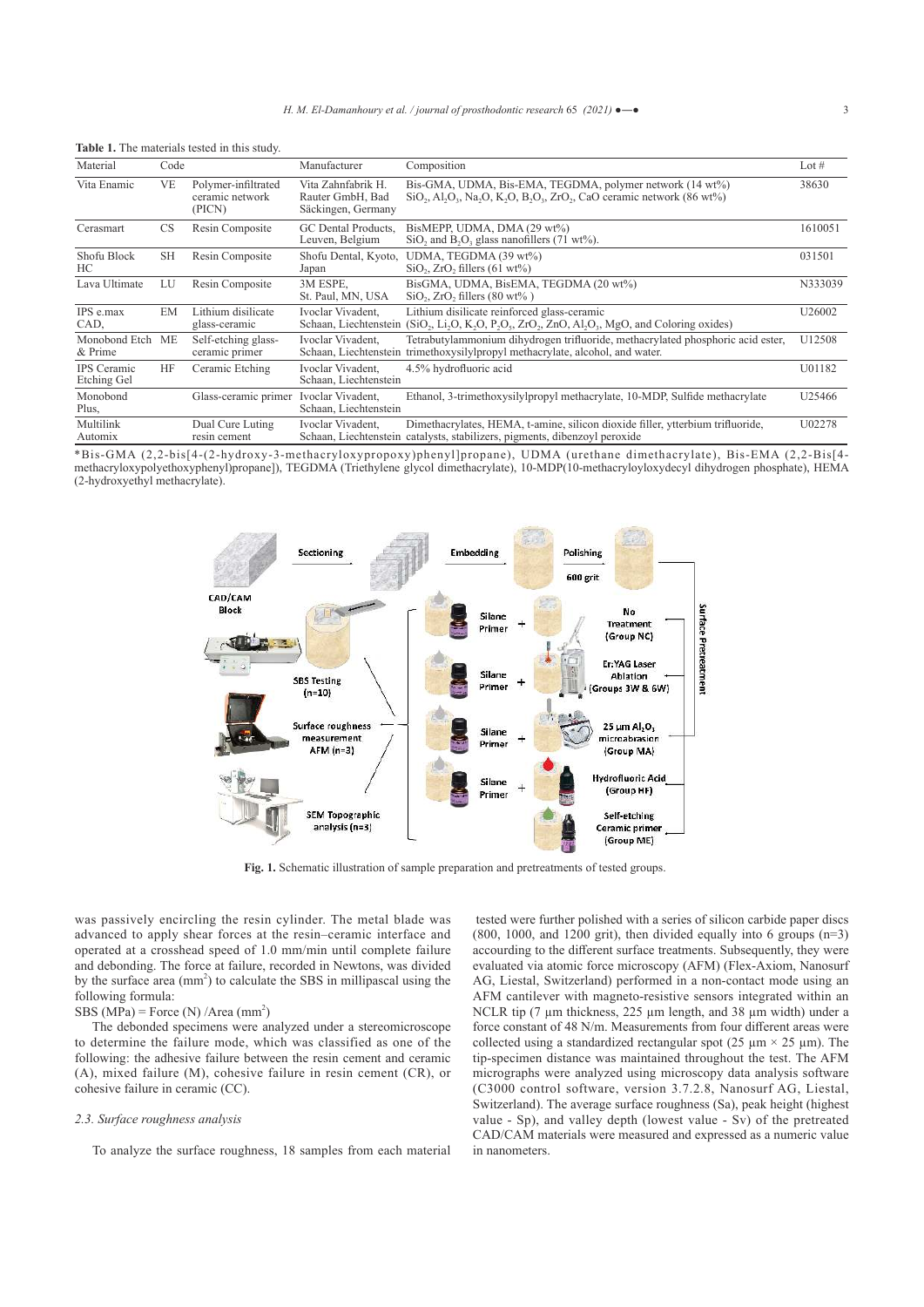|                                   |           | <b>Table 1.</b> The materials tested in this study. |                                                              |                                                                                                                                                                                                                                                                                    |         |
|-----------------------------------|-----------|-----------------------------------------------------|--------------------------------------------------------------|------------------------------------------------------------------------------------------------------------------------------------------------------------------------------------------------------------------------------------------------------------------------------------|---------|
| Material                          | Code      |                                                     | Manufacturer                                                 | Composition                                                                                                                                                                                                                                                                        | Lot $#$ |
| Vita Enamic                       | <b>VE</b> | Polymer-infiltrated<br>ceramic network<br>(PICN)    | Vita Zahnfabrik H.<br>Rauter GmbH, Bad<br>Säckingen, Germany | Bis-GMA, UDMA, Bis-EMA, TEGDMA, polymer network (14 wt%)<br>$SiO_2$ , Al <sub>2</sub> O <sub>3</sub> , Na <sub>2</sub> O <sub>3</sub> , K <sub>2</sub> O <sub>3</sub> , B <sub>2</sub> O <sub>3</sub> , Z <sub>rO2</sub> , C <sub>a</sub> O ceramic network (86 wt <sup>o</sup> %) | 38630   |
| Cerasmart                         | <b>CS</b> | Resin Composite                                     | GC Dental Products.<br>Leuven, Belgium                       | BisMEPP, UDMA, DMA (29 wt%)<br>$SiO$ , and $B_2O_3$ glass nanofillers (71 wt%).                                                                                                                                                                                                    | 1610051 |
| Shofu Block<br>HC.                | <b>SH</b> | Resin Composite                                     | Shofu Dental, Kyoto,<br>Japan                                | UDMA, TEGDMA (39 wt%)<br>$SiO_2$ , ZrO, fillers (61 wt%)                                                                                                                                                                                                                           | 031501  |
| Lava Ultimate                     | LU        | Resin Composite                                     | 3M ESPE,<br>St. Paul, MN, USA                                | BisGMA, UDMA, BisEMA, TEGDMA (20 wt%)<br>$SiO_2$ , ZrO <sub>2</sub> fillers (80 wt <sup>o</sup> %)                                                                                                                                                                                 | N333039 |
| IPS e.max<br>CAD,                 | EM        | Lithium disilicate<br>glass-ceramic                 | Ivoclar Vivadent.<br>Schaan, Liechtenstein                   | Lithium disilicate reinforced glass-ceramic<br>$(SiO_2, Li_2O, K_2O, P_2O_3, ZrO_2, ZnO, A1_2O_3, MgO, and Coloring oxides)$                                                                                                                                                       | U26002  |
| Monobond Etch<br>& Prime          | ME        | Self-etching glass-<br>ceramic primer               | Ivoclar Vivadent.<br>Schaan, Liechtenstein                   | Tetrabutylammonium dihydrogen trifluoride, methacrylated phosphoric acid ester,<br>trimethoxysilylpropyl methacrylate, alcohol, and water.                                                                                                                                         | U12508  |
| <b>IPS</b> Ceramic<br>Etching Gel | <b>HF</b> | Ceramic Etching                                     | Ivoclar Vivadent,<br>Schaan, Liechtenstein                   | 4.5% hydrofluoric acid                                                                                                                                                                                                                                                             | U01182  |
| Monobond<br>Plus,                 |           | Glass-ceramic primer                                | Ivoclar Vivadent.<br>Schaan, Liechtenstein                   | Ethanol, 3-trimethoxysilylpropyl methacrylate, 10-MDP, Sulfide methacrylate                                                                                                                                                                                                        | U25466  |
| Multilink<br>Automix              |           | Dual Cure Luting<br>resin cement                    | Ivoclar Vivadent.                                            | Dimethacrylates, HEMA, t-amine, silicon dioxide filler, ytterbium trifluoride,<br>Schaan, Liechtenstein catalysts, stabilizers, pigments, dibenzoyl peroxide                                                                                                                       | U02278  |

|  |  | <b>Table 1.</b> The materials tested in this study. |  |  |  |  |
|--|--|-----------------------------------------------------|--|--|--|--|
|--|--|-----------------------------------------------------|--|--|--|--|

\*Bis-GMA (2,2-bis[4-(2-hydroxy-3-methacryloxypropoxy)phenyl]propane), UDMA (urethane dimethacrylate), Bis-EMA (2,2-Bis[4 methacryloxypolyethoxyphenyl)propane]), TEGDMA (Triethylene glycol dimethacrylate), 10-MDP(10-methacryloyloxydecyl dihydrogen phosphate), HEMA (2-hydroxyethyl methacrylate).



**Fig. 1.** Schematic illustration of sample preparation and pretreatments of tested groups.

was passively encircling the resin cylinder. The metal blade was advanced to apply shear forces at the resin–ceramic interface and operated at a crosshead speed of 1.0 mm/min until complete failure and debonding. The force at failure, recorded in Newtons, was divided by the surface area (mm<sup>2</sup>) to calculate the SBS in millipascal using the following formula:

## SBS (MPa) = Force (N) /Area (mm<sup>2</sup>)

 The debonded specimens were analyzed under a stereomicroscope to determine the failure mode, which was classified as one of the following: the adhesive failure between the resin cement and ceramic (A), mixed failure (M), cohesive failure in resin cement (CR), or cohesive failure in ceramic (CC).

#### *2.3. Surface roughness analysis*

To analyze the surface roughness, 18 samples from each material

 tested were further polished with a series of silicon carbide paper discs  $(800, 1000,$  and 1200 grit), then divided equally into 6 groups  $(n=3)$ accourding to the different surface treatments. Subsequently, they were evaluated via atomic force microscopy (AFM) (Flex-Axiom, Nanosurf AG, Liestal, Switzerland) performed in a non-contact mode using an AFM cantilever with magneto-resistive sensors integrated within an NCLR tip (7 μm thickness, 225 μm length, and 38 μm width) under a force constant of 48 N/m. Measurements from four different areas were collected using a standardized rectangular spot (25  $\mu$ m × 25  $\mu$ m). The tip-specimen distance was maintained throughout the test. The AFM micrographs were analyzed using microscopy data analysis software (C3000 control software, version 3.7.2.8, Nanosurf AG, Liestal, Switzerland). The average surface roughness (Sa), peak height (highest value - Sp), and valley depth (lowest value - Sv) of the pretreated CAD/CAM materials were measured and expressed as a numeric value in nanometers.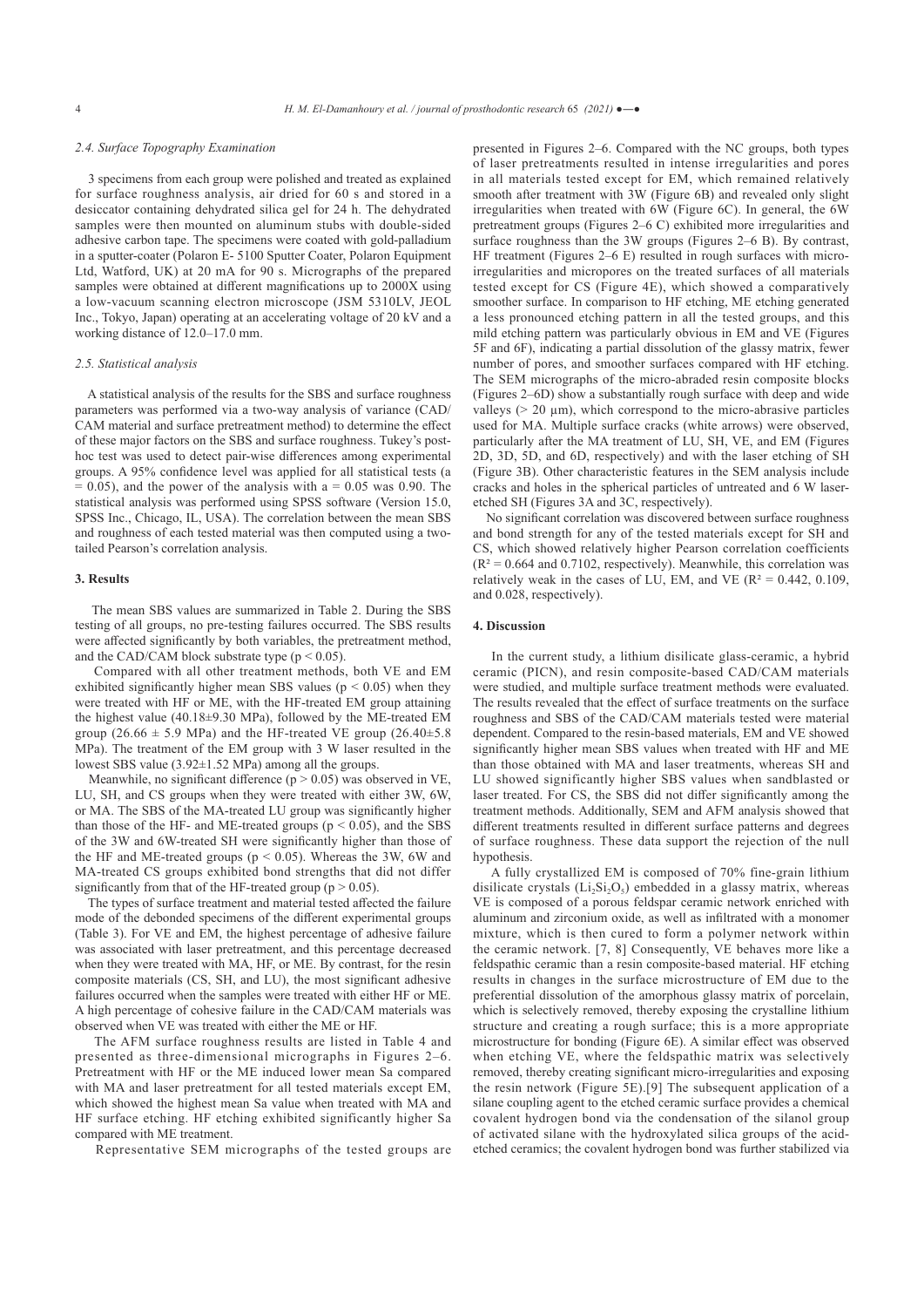## *2.4. Surface Topography Examination*

 3 specimens from each group were polished and treated as explained for surface roughness analysis, air dried for 60 s and stored in a desiccator containing dehydrated silica gel for 24 h. The dehydrated samples were then mounted on aluminum stubs with double-sided adhesive carbon tape. The specimens were coated with gold-palladium in a sputter-coater (Polaron E- 5100 Sputter Coater, Polaron Equipment Ltd, Watford, UK) at 20 mA for 90 s. Micrographs of the prepared samples were obtained at different magnifications up to 2000X using a low-vacuum scanning electron microscope (JSM 5310LV, JEOL Inc., Tokyo, Japan) operating at an accelerating voltage of 20 kV and a working distance of 12.0–17.0 mm.

#### *2.5. Statistical analysis*

 A statistical analysis of the results for the SBS and surface roughness parameters was performed via a two-way analysis of variance (CAD/ CAM material and surface pretreatment method) to determine the effect of these major factors on the SBS and surface roughness. Tukey's posthoc test was used to detect pair-wise differences among experimental groups. A 95% confidence level was applied for all statistical tests (a  $= 0.05$ ), and the power of the analysis with a  $= 0.05$  was 0.90. The statistical analysis was performed using SPSS software (Version 15.0, SPSS Inc., Chicago, IL, USA). The correlation between the mean SBS and roughness of each tested material was then computed using a twotailed Pearson's correlation analysis.

#### **3. Results**

 The mean SBS values are summarized in Table 2. During the SBS testing of all groups, no pre-testing failures occurred. The SBS results were affected significantly by both variables, the pretreatment method, and the CAD/CAM block substrate type  $(p < 0.05)$ .

 Compared with all other treatment methods, both VE and EM exhibited significantly higher mean SBS values ( $p < 0.05$ ) when they were treated with HF or ME, with the HF-treated EM group attaining the highest value (40.18±9.30 MPa), followed by the ME-treated EM group ( $26.66 \pm 5.9$  MPa) and the HF-treated VE group ( $26.40 \pm 5.8$ MPa). The treatment of the EM group with 3 W laser resulted in the lowest SBS value (3.92±1.52 MPa) among all the groups.

Meanwhile, no significant difference ( $p > 0.05$ ) was observed in VE, LU, SH, and CS groups when they were treated with either 3W, 6W, or MA. The SBS of the MA-treated LU group was significantly higher than those of the HF- and ME-treated groups ( $p < 0.05$ ), and the SBS of the 3W and 6W-treated SH were significantly higher than those of the HF and ME-treated groups ( $p < 0.05$ ). Whereas the 3W, 6W and MA-treated CS groups exhibited bond strengths that did not differ significantly from that of the HF-treated group ( $p > 0.05$ ).

 The types of surface treatment and material tested affected the failure mode of the debonded specimens of the different experimental groups (Table 3). For VE and EM, the highest percentage of adhesive failure was associated with laser pretreatment, and this percentage decreased when they were treated with MA, HF, or ME. By contrast, for the resin composite materials (CS, SH, and LU), the most significant adhesive failures occurred when the samples were treated with either HF or ME. A high percentage of cohesive failure in the CAD/CAM materials was observed when VE was treated with either the ME or HF.

 The AFM surface roughness results are listed in Table 4 and presented as three-dimensional micrographs in Figures 2–6. Pretreatment with HF or the ME induced lower mean Sa compared with MA and laser pretreatment for all tested materials except EM, which showed the highest mean Sa value when treated with MA and HF surface etching. HF etching exhibited significantly higher Sa compared with ME treatment.

Representative SEM micrographs of the tested groups are

presented in Figures 2–6. Compared with the NC groups, both types of laser pretreatments resulted in intense irregularities and pores in all materials tested except for EM, which remained relatively smooth after treatment with 3W (Figure 6B) and revealed only slight irregularities when treated with 6W (Figure 6C). In general, the 6W pretreatment groups (Figures 2–6 C) exhibited more irregularities and surface roughness than the 3W groups (Figures 2–6 B). By contrast, HF treatment (Figures 2–6 E) resulted in rough surfaces with microirregularities and micropores on the treated surfaces of all materials tested except for CS (Figure 4E), which showed a comparatively smoother surface. In comparison to HF etching, ME etching generated a less pronounced etching pattern in all the tested groups, and this mild etching pattern was particularly obvious in EM and VE (Figures 5F and 6F), indicating a partial dissolution of the glassy matrix, fewer number of pores, and smoother surfaces compared with HF etching. The SEM micrographs of the micro-abraded resin composite blocks (Figures 2–6D) show a substantially rough surface with deep and wide valleys  $(> 20 \mu m)$ , which correspond to the micro-abrasive particles used for MA. Multiple surface cracks (white arrows) were observed, particularly after the MA treatment of LU, SH, VE, and EM (Figures 2D, 3D, 5D, and 6D, respectively) and with the laser etching of SH (Figure 3B). Other characteristic features in the SEM analysis include cracks and holes in the spherical particles of untreated and 6 W laseretched SH (Figures 3A and 3C, respectively).

 No significant correlation was discovered between surface roughness and bond strength for any of the tested materials except for SH and CS, which showed relatively higher Pearson correlation coefficients  $(R<sup>2</sup> = 0.664$  and 0.7102, respectively). Meanwhile, this correlation was relatively weak in the cases of LU, EM, and VE ( $R^2 = 0.442$ , 0.109, and 0.028, respectively).

#### **4. Discussion**

 In the current study, a lithium disilicate glass-ceramic, a hybrid ceramic (PICN), and resin composite-based CAD/CAM materials were studied, and multiple surface treatment methods were evaluated. The results revealed that the effect of surface treatments on the surface roughness and SBS of the CAD/CAM materials tested were material dependent. Compared to the resin-based materials, EM and VE showed significantly higher mean SBS values when treated with HF and ME than those obtained with MA and laser treatments, whereas SH and LU showed significantly higher SBS values when sandblasted or laser treated. For CS, the SBS did not differ significantly among the treatment methods. Additionally, SEM and AFM analysis showed that different treatments resulted in different surface patterns and degrees of surface roughness. These data support the rejection of the null hypothesis.

 A fully crystallized EM is composed of 70% fine-grain lithium disilicate crystals  $(Li<sub>2</sub>Si<sub>2</sub>O<sub>5</sub>)$  embedded in a glassy matrix, whereas VE is composed of a porous feldspar ceramic network enriched with aluminum and zirconium oxide, as well as infiltrated with a monomer mixture, which is then cured to form a polymer network within the ceramic network. [7, 8] Consequently, VE behaves more like a feldspathic ceramic than a resin composite-based material. HF etching results in changes in the surface microstructure of EM due to the preferential dissolution of the amorphous glassy matrix of porcelain, which is selectively removed, thereby exposing the crystalline lithium structure and creating a rough surface; this is a more appropriate microstructure for bonding (Figure 6E). A similar effect was observed when etching VE, where the feldspathic matrix was selectively removed, thereby creating significant micro-irregularities and exposing the resin network (Figure 5E).[9] The subsequent application of a silane coupling agent to the etched ceramic surface provides a chemical covalent hydrogen bond via the condensation of the silanol group of activated silane with the hydroxylated silica groups of the acidetched ceramics; the covalent hydrogen bond was further stabilized via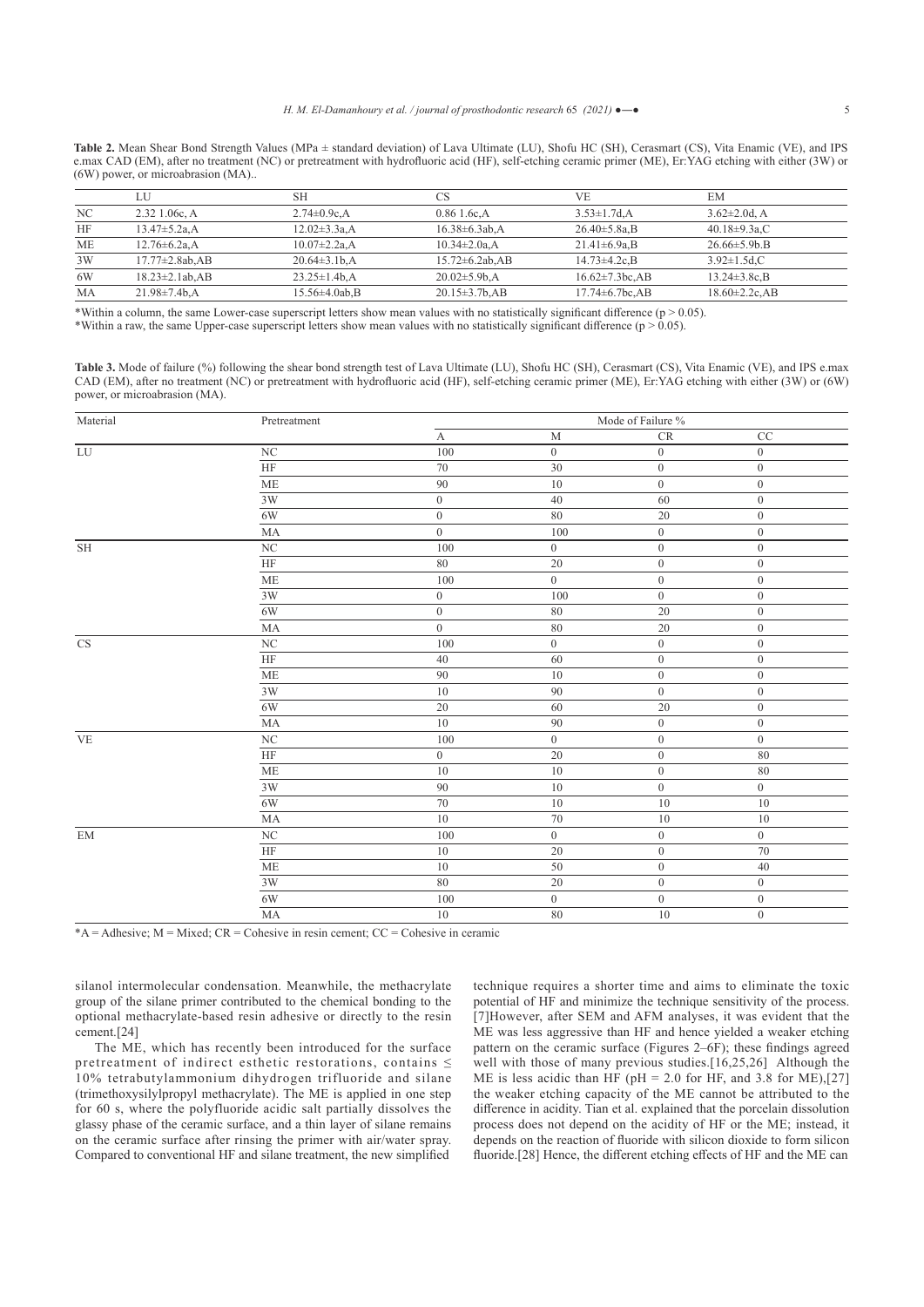Table 2. Mean Shear Bond Strength Values (MPa ± standard deviation) of Lava Ultimate (LU), Shofu HC (SH), Cerasmart (CS), Vita Enamic (VE), and IPS e.max CAD (EM), after no treatment (NC) or pretreatment with hydrofluoric acid (HF), self-etching ceramic primer (ME), Er:YAG etching with either (3W) or (6W) power, or microabrasion (MA)..

|    | LU                    | SН                          | CS                    | VF.                      | EM                   |  |
|----|-----------------------|-----------------------------|-----------------------|--------------------------|----------------------|--|
| NC | $2.32$ 1.06c, A       | $2.74 \pm 0.9c$ .A          | $0.86$ 1.6c.A         | $3.53 \pm 1.7$ d, A      | $3.62 \pm 2.0$ d, A  |  |
| HF | $13.47 \pm 5.2$ a, A  | $12.02 \pm 3.3a$ , A        | $16.38 \pm 6.3ab$ , A | $26.40 \pm 5.8a$ , B     | $40.18 \pm 9.3$ a,C  |  |
| МE | 12.76±6.2a.A          | $10.07 \pm 2.2$ a.A         | $10.34 \pm 2.0a$ .A   | $21.41 \pm 6.9$ a.B      | $26.66 \pm 5.9b.B$   |  |
| 3W | 17.77±2.8ab,AB        | $20.64\pm3.1b$ <sub>A</sub> | $15.72 \pm 6.2$ ab.AB | $14.73 \pm 4.2c$ , B     | $3.92 \pm 1.5$ d,C   |  |
| 6W | $18.23 \pm 2.1$ ab.AB | $23.25 \pm 1.4b$ .A         | $20.02 \pm 5.9$ b.A   | $16.62 \pm 7.3$ bc.AB    | $13.24 \pm 3.8c.B$   |  |
| МA | $21.98 \pm 7.4b$ .A   | $15.56\pm4.0ab$ .B          | $20.15 \pm 3.7b$ .AB  | $17.74 \pm 6.7$ bc, $AB$ | $18.60 \pm 2.2c$ .AB |  |

\*Within a column, the same Lower-case superscript letters show mean values with no statistically significant difference ( $p > 0.05$ ). \*Within a raw, the same Upper-case superscript letters show mean values with no statistically significant difference ( $p > 0.05$ ).

Table 3. Mode of failure (%) following the shear bond strength test of Lava Ultimate (LU), Shofu HC (SH), Cerasmart (CS), Vita Enamic (VE), and IPS e.max CAD (EM), after no treatment (NC) or pretreatment with hydrofluoric acid (HF), self-etching ceramic primer (ME), Er:YAG etching with either (3W) or (6W) power, or microabrasion (MA).

| Material               | Pretreatment           | Mode of Failure %     |                  |                          |                  |  |
|------------------------|------------------------|-----------------------|------------------|--------------------------|------------------|--|
|                        |                        | $\boldsymbol{\rm{A}}$ | $\mathbf M$      | $\mathcal{C}\mathcal{R}$ | $\rm CC$         |  |
| $\overline{\text{LU}}$ | $\overline{\text{NC}}$ | 100                   | $\overline{0}$   | $\boldsymbol{0}$         | $\boldsymbol{0}$ |  |
|                        | HF                     | 70                    | $30\,$           | $\boldsymbol{0}$         | $\overline{0}$   |  |
|                        | $\overline{\text{ME}}$ | 90                    | $10\,$           | $\boldsymbol{0}$         | $\mathbf{0}$     |  |
|                        | 3W                     | $\boldsymbol{0}$      | $40\,$           | 60                       | $\boldsymbol{0}$ |  |
|                        | $6\mathrm{W}$          | $\boldsymbol{0}$      | $80\,$           | 20                       | $\mathbf{0}$     |  |
|                        | MA                     | $\overline{0}$        | 100              | $\boldsymbol{0}$         | $\boldsymbol{0}$ |  |
| SH                     | $\rm NC$               | $100\,$               | $\boldsymbol{0}$ | $\boldsymbol{0}$         | $\boldsymbol{0}$ |  |
|                        | $\rm{HF}$              | $80\,$                | $20\,$           | $\boldsymbol{0}$         | $\boldsymbol{0}$ |  |
|                        | $\rm ME$               | 100                   | $\mathbf{0}$     | $\boldsymbol{0}$         | $\boldsymbol{0}$ |  |
|                        | $3\mathrm{W}$          | $\boldsymbol{0}$      | $100\,$          | $\boldsymbol{0}$         | $\overline{0}$   |  |
|                        | $6\mathrm{W}$          | $\mathbf{0}$          | $80\,$           | 20                       | $\mathbf{0}$     |  |
|                        | MA                     | $\overline{0}$        | 80               | 20                       | $\mathbf{0}$     |  |
| $\overline{\text{CS}}$ | ${\rm NC}$             | $100\,$               | $\boldsymbol{0}$ | $\boldsymbol{0}$         | $\boldsymbol{0}$ |  |
|                        | $\overline{\text{HF}}$ | $40\,$                | 60               | $\boldsymbol{0}$         | $\boldsymbol{0}$ |  |
|                        | <b>ME</b>              | 90                    | $10\,$           | $\boldsymbol{0}$         | $\boldsymbol{0}$ |  |
|                        | $3\mathrm{W}$          | $10\,$                | $90\,$           | $\boldsymbol{0}$         | $\boldsymbol{0}$ |  |
|                        | 6W                     | $20\,$                | $60\,$           | $20\,$                   | $\boldsymbol{0}$ |  |
|                        | MA                     | 10                    | 90               | $\mathbf{0}$             | $\mathbf{0}$     |  |
| <b>VE</b>              | $\rm NC$               | $100\,$               | $\overline{0}$   | $\boldsymbol{0}$         | $\boldsymbol{0}$ |  |
|                        | $\overline{\rm HF}$    | $\boldsymbol{0}$      | $20\,$           | $\boldsymbol{0}$         | $80\,$           |  |
|                        | $\operatorname{ME}$    | $10\,$                | $10\,$           | $\boldsymbol{0}$         | 80               |  |
|                        | $3\mathrm{W}$          | $\overline{90}$       | $10\,$           | $\boldsymbol{0}$         | $\overline{0}$   |  |
|                        | $6\mathrm{W}$          | $70\,$                | $10\,$           | $10\,$                   | $10\,$           |  |
|                        | MA                     | $10\,$                | 70               | 10                       | $10\,$           |  |
| EM                     | $\rm NC$               | $100\,$               | $\overline{0}$   | $\boldsymbol{0}$         | $\overline{0}$   |  |
|                        | $\overline{\rm HF}$    | $10\,$                | $20\,$           | $\boldsymbol{0}$         | $\overline{70}$  |  |
|                        | $\operatorname{ME}$    | $10\,$                | $50\,$           | $\boldsymbol{0}$         | 40               |  |
|                        | 3W                     | 80                    | $20\,$           | $\boldsymbol{0}$         | $\boldsymbol{0}$ |  |
|                        | $6\mathrm{W}$          | $100\,$               | $\boldsymbol{0}$ | $\boldsymbol{0}$         | $\boldsymbol{0}$ |  |
|                        | $\rm MA$               | 10                    | $80\,$           | $10\,$                   | $\boldsymbol{0}$ |  |

 $*A =$ Adhesive; M = Mixed; CR = Cohesive in resin cement; CC = Cohesive in ceramic

silanol intermolecular condensation. Meanwhile, the methacrylate group of the silane primer contributed to the chemical bonding to the optional methacrylate-based resin adhesive or directly to the resin cement.[24]

 The ME, which has recently been introduced for the surface pretreatment of indirect esthetic restorations, contains ≤ 10% tetrabutylammonium dihydrogen trifluoride and silane (trimethoxysilylpropyl methacrylate). The ME is applied in one step for 60 s, where the polyfluoride acidic salt partially dissolves the glassy phase of the ceramic surface, and a thin layer of silane remains on the ceramic surface after rinsing the primer with air/water spray. Compared to conventional HF and silane treatment, the new simplified

technique requires a shorter time and aims to eliminate the toxic potential of HF and minimize the technique sensitivity of the process. [7]However, after SEM and AFM analyses, it was evident that the ME was less aggressive than HF and hence yielded a weaker etching pattern on the ceramic surface (Figures 2–6F); these findings agreed well with those of many previous studies.<sup>[16,25,26]</sup> Although the ME is less acidic than HF ( $pH = 2.0$  for HF, and 3.8 for ME),[27] the weaker etching capacity of the ME cannot be attributed to the difference in acidity. Tian et al. explained that the porcelain dissolution process does not depend on the acidity of HF or the ME; instead, it depends on the reaction of fluoride with silicon dioxide to form silicon fluoride.[28] Hence, the different etching effects of HF and the ME can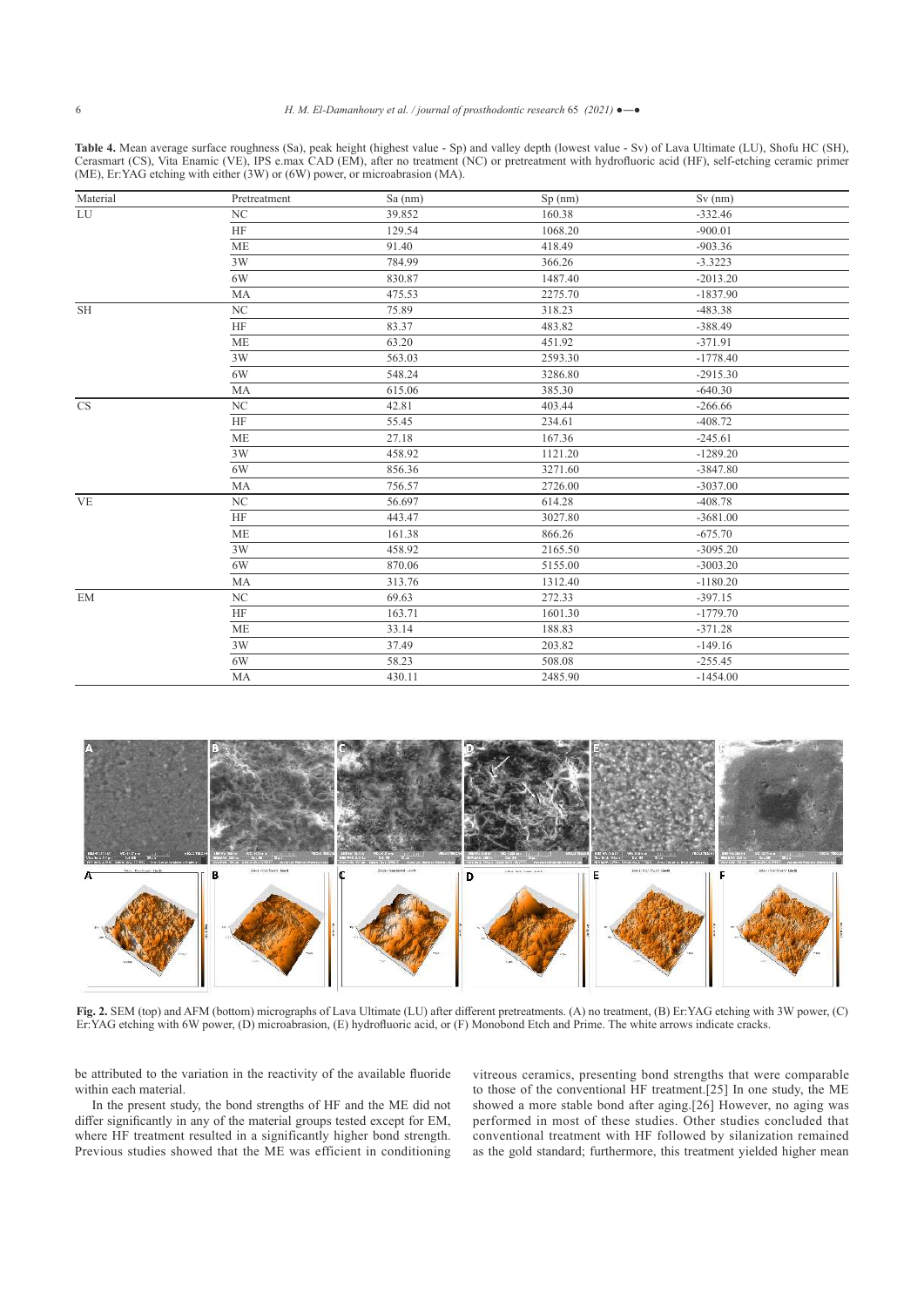**Table 4.** Mean average surface roughness (Sa), peak height (highest value - Sp) and valley depth (lowest value - Sv) of Lava Ultimate (LU), Shofu HC (SH), Cerasmart (CS), Vita Enamic (VE), IPS e.max CAD (EM), after no treatment (NC) or pretreatment with hydrofluoric acid (HF), self-etching ceramic primer (ME), Er:YAG etching with either (3W) or (6W) power, or microabrasion (MA).

| Material  | Pretreatment     | $Sa$ (nm) | Sp(nm)  | $Sv$ (nm)  |  |
|-----------|------------------|-----------|---------|------------|--|
| LU        | $_{\mathrm{NC}}$ | 39.852    | 160.38  | $-332.46$  |  |
|           | $\rm{HF}$        | 129.54    | 1068.20 | $-900.01$  |  |
|           | <b>ME</b>        | 91.40     | 418.49  | $-903.36$  |  |
|           | 3W               | 784.99    | 366.26  | $-3.3223$  |  |
|           | 6W               | 830.87    | 1487.40 | $-2013.20$ |  |
|           | MA               | 475.53    | 2275.70 | $-1837.90$ |  |
| <b>SH</b> | $_{\mathrm{NC}}$ | 75.89     | 318.23  | $-483.38$  |  |
|           | HF               | 83.37     | 483.82  | $-388.49$  |  |
|           | <b>ME</b>        | 63.20     | 451.92  | $-371.91$  |  |
|           | 3W               | 563.03    | 2593.30 | $-1778.40$ |  |
|           | 6W               | 548.24    | 3286.80 | $-2915.30$ |  |
|           | MA               | 615.06    | 385.30  | $-640.30$  |  |
| <b>CS</b> | $_{\mathrm{NC}}$ | 42.81     | 403.44  | $-266.66$  |  |
|           | HF               | 55.45     | 234.61  | $-408.72$  |  |
|           | <b>ME</b>        | 27.18     | 167.36  | $-245.61$  |  |
|           | 3W               | 458.92    | 1121.20 | $-1289.20$ |  |
|           | 6W               | 856.36    | 3271.60 | $-3847.80$ |  |
|           | MA               | 756.57    | 2726.00 | $-3037.00$ |  |
| <b>VE</b> | $\rm NC$         | 56.697    | 614.28  | $-408.78$  |  |
|           | $\rm{HF}$        | 443.47    | 3027.80 | $-3681.00$ |  |
|           | <b>ME</b>        | 161.38    | 866.26  | $-675.70$  |  |
|           | 3W               | 458.92    | 2165.50 | $-3095.20$ |  |
|           | 6W               | 870.06    | 5155.00 | $-3003.20$ |  |
|           | MA               | 313.76    | 1312.40 | $-1180.20$ |  |
| EM        | $_{\mathrm{NC}}$ | 69.63     | 272.33  | $-397.15$  |  |
|           | HF               | 163.71    | 1601.30 | $-1779.70$ |  |
|           | <b>ME</b>        | 33.14     | 188.83  | $-371.28$  |  |
|           | 3W               | 37.49     | 203.82  | $-149.16$  |  |
|           | 6W               | 58.23     | 508.08  | $-255.45$  |  |
|           | <b>MA</b>        | 430.11    | 2485.90 | $-1454.00$ |  |



**Fig. 2.** SEM (top) and AFM (bottom) micrographs of Lava Ultimate (LU) after different pretreatments. (A) no treatment, (B) Er:YAG etching with 3W power, (C) Er:YAG etching with 6W power, (D) microabrasion, (E) hydrofluoric acid, or (F) Monobond Etch and Prime. The white arrows indicate cracks.

be attributed to the variation in the reactivity of the available fluoride within each material.

 In the present study, the bond strengths of HF and the ME did not differ significantly in any of the material groups tested except for EM, where HF treatment resulted in a significantly higher bond strength. Previous studies showed that the ME was efficient in conditioning vitreous ceramics, presenting bond strengths that were comparable to those of the conventional HF treatment.[25] In one study, the ME showed a more stable bond after aging.[26] However, no aging was performed in most of these studies. Other studies concluded that conventional treatment with HF followed by silanization remained as the gold standard; furthermore, this treatment yielded higher mean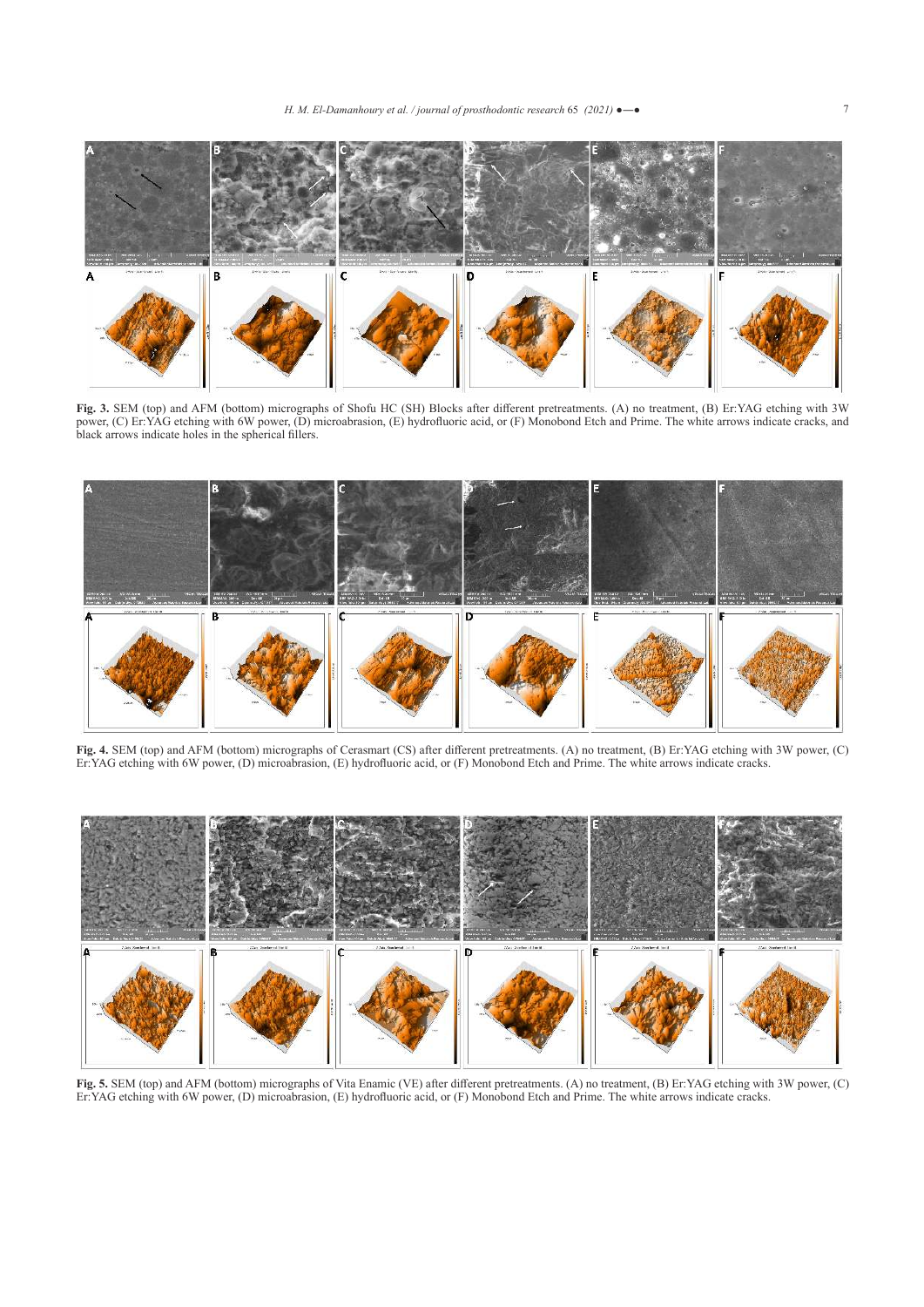

**Fig. 3.** SEM (top) and AFM (bottom) micrographs of Shofu HC (SH) Blocks after different pretreatments. (A) no treatment, (B) Er:YAG etching with 3W power, (C) Er:YAG etching with 6W power, (D) microabrasion, (E) hydrofluoric acid, or (F) Monobond Etch and Prime. The white arrows indicate cracks, and black arrows indicate holes in the spherical fillers.



**Fig. 4.** SEM (top) and AFM (bottom) micrographs of Cerasmart (CS) after different pretreatments. (A) no treatment, (B) Er:YAG etching with 3W power, (C) Er:YAG etching with 6W power, (D) microabrasion, (E) hydrofluoric acid, or (F) Monobond Etch and Prime. The white arrows indicate cracks.



**Fig. 5.** SEM (top) and AFM (bottom) micrographs of Vita Enamic (VE) after different pretreatments. (A) no treatment, (B) Er:YAG etching with 3W power, (C) Er:YAG etching with 6W power, (D) microabrasion, (E) hydrofluoric acid, or (F) Monobond Etch and Prime. The white arrows indicate cracks.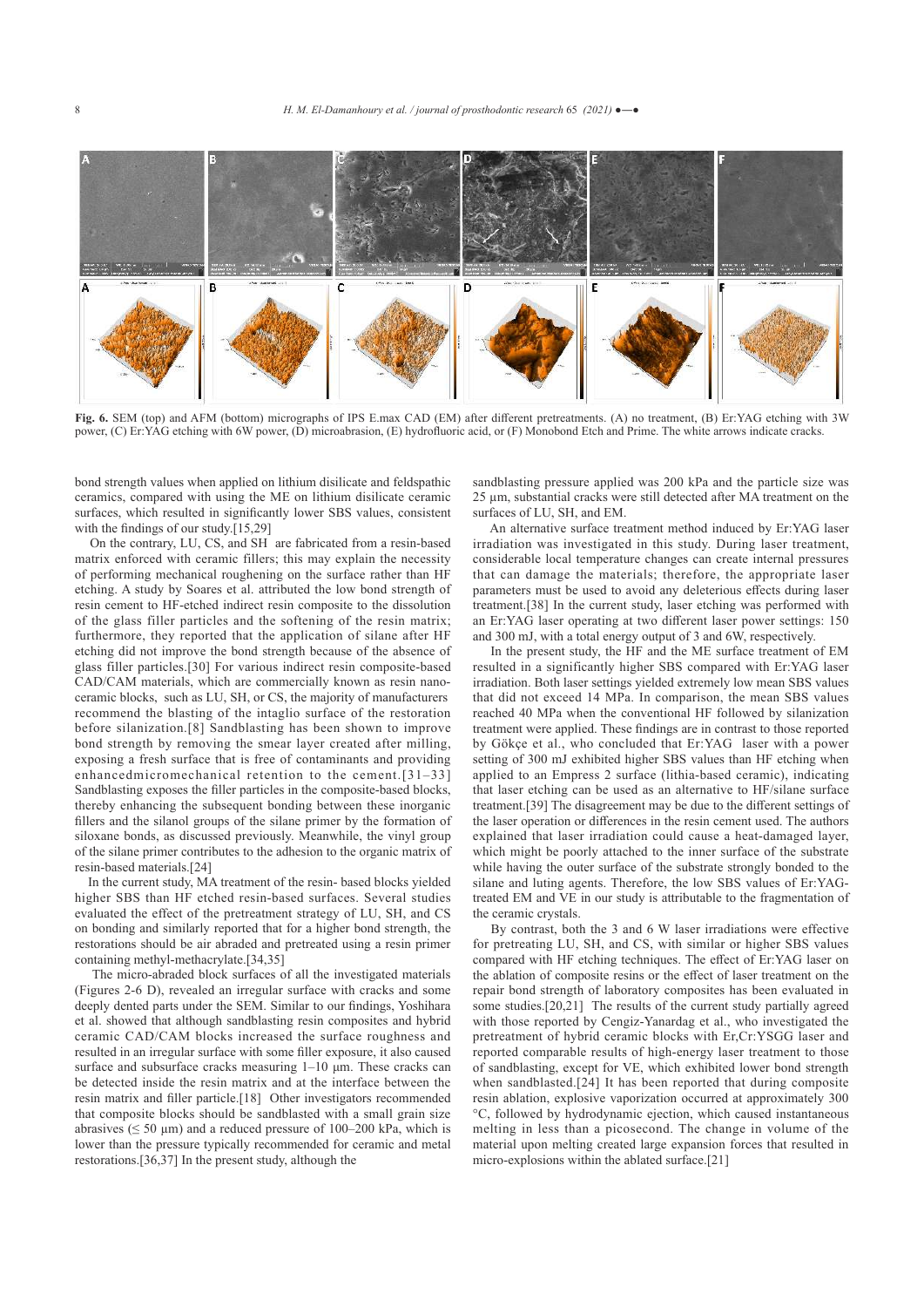

**Fig. 6.** SEM (top) and AFM (bottom) micrographs of IPS E.max CAD (EM) after different pretreatments. (A) no treatment, (B) Er:YAG etching with 3W power, (C) Er:YAG etching with 6W power, (D) microabrasion, (E) hydrofluoric acid, or (F) Monobond Etch and Prime. The white arrows indicate cracks.

bond strength values when applied on lithium disilicate and feldspathic ceramics, compared with using the ME on lithium disilicate ceramic surfaces, which resulted in significantly lower SBS values, consistent with the findings of our study.[15,29]

 On the contrary, LU, CS, and SH are fabricated from a resin-based matrix enforced with ceramic fillers; this may explain the necessity of performing mechanical roughening on the surface rather than HF etching. A study by Soares et al. attributed the low bond strength of resin cement to HF-etched indirect resin composite to the dissolution of the glass filler particles and the softening of the resin matrix; furthermore, they reported that the application of silane after HF etching did not improve the bond strength because of the absence of glass filler particles.[30] For various indirect resin composite-based CAD/CAM materials, which are commercially known as resin nanoceramic blocks, such as LU, SH, or CS, the majority of manufacturers recommend the blasting of the intaglio surface of the restoration before silanization.[8] Sandblasting has been shown to improve bond strength by removing the smear layer created after milling, exposing a fresh surface that is free of contaminants and providing enhancedmicromechanical retention to the cement.[31–33] Sandblasting exposes the filler particles in the composite-based blocks, thereby enhancing the subsequent bonding between these inorganic fillers and the silanol groups of the silane primer by the formation of siloxane bonds, as discussed previously. Meanwhile, the vinyl group of the silane primer contributes to the adhesion to the organic matrix of resin-based materials.[24]

 In the current study, MA treatment of the resin- based blocks yielded higher SBS than HF etched resin-based surfaces. Several studies evaluated the effect of the pretreatment strategy of LU, SH, and CS on bonding and similarly reported that for a higher bond strength, the restorations should be air abraded and pretreated using a resin primer containing methyl-methacrylate.[34,35]

 The micro-abraded block surfaces of all the investigated materials (Figures 2-6 D), revealed an irregular surface with cracks and some deeply dented parts under the SEM. Similar to our findings, Yoshihara et al. showed that although sandblasting resin composites and hybrid ceramic CAD/CAM blocks increased the surface roughness and resulted in an irregular surface with some filler exposure, it also caused surface and subsurface cracks measuring 1–10 μm. These cracks can be detected inside the resin matrix and at the interface between the resin matrix and filler particle.[18] Other investigators recommended that composite blocks should be sandblasted with a small grain size abrasives ( $\leq 50 \text{ }\mu\text{m}$ ) and a reduced pressure of 100–200 kPa, which is lower than the pressure typically recommended for ceramic and metal restorations.[36,37] In the present study, although the

sandblasting pressure applied was 200 kPa and the particle size was 25 µm, substantial cracks were still detected after MA treatment on the surfaces of LU, SH, and EM.

 An alternative surface treatment method induced by Er:YAG laser irradiation was investigated in this study. During laser treatment, considerable local temperature changes can create internal pressures that can damage the materials; therefore, the appropriate laser parameters must be used to avoid any deleterious effects during laser treatment.[38] In the current study, laser etching was performed with an Er:YAG laser operating at two different laser power settings: 150 and 300 mJ, with a total energy output of 3 and 6W, respectively.

 In the present study, the HF and the ME surface treatment of EM resulted in a significantly higher SBS compared with Er:YAG laser irradiation. Both laser settings yielded extremely low mean SBS values that did not exceed 14 MPa. In comparison, the mean SBS values reached 40 MPa when the conventional HF followed by silanization treatment were applied. These findings are in contrast to those reported by Gökçe et al., who concluded that Er:YAG laser with a power setting of 300 mJ exhibited higher SBS values than HF etching when applied to an Empress 2 surface (lithia-based ceramic), indicating that laser etching can be used as an alternative to HF/silane surface treatment.[39] The disagreement may be due to the different settings of the laser operation or differences in the resin cement used. The authors explained that laser irradiation could cause a heat-damaged layer, which might be poorly attached to the inner surface of the substrate while having the outer surface of the substrate strongly bonded to the silane and luting agents. Therefore, the low SBS values of Er:YAGtreated EM and VE in our study is attributable to the fragmentation of the ceramic crystals.

 By contrast, both the 3 and 6 W laser irradiations were effective for pretreating LU, SH, and CS, with similar or higher SBS values compared with HF etching techniques. The effect of Er:YAG laser on the ablation of composite resins or the effect of laser treatment on the repair bond strength of laboratory composites has been evaluated in some studies.[20,21] The results of the current study partially agreed with those reported by Cengiz-Yanardag et al., who investigated the pretreatment of hybrid ceramic blocks with Er,Cr:YSGG laser and reported comparable results of high-energy laser treatment to those of sandblasting, except for VE, which exhibited lower bond strength when sandblasted.[24] It has been reported that during composite resin ablation, explosive vaporization occurred at approximately 300 °C, followed by hydrodynamic ejection, which caused instantaneous melting in less than a picosecond. The change in volume of the material upon melting created large expansion forces that resulted in micro-explosions within the ablated surface.[21]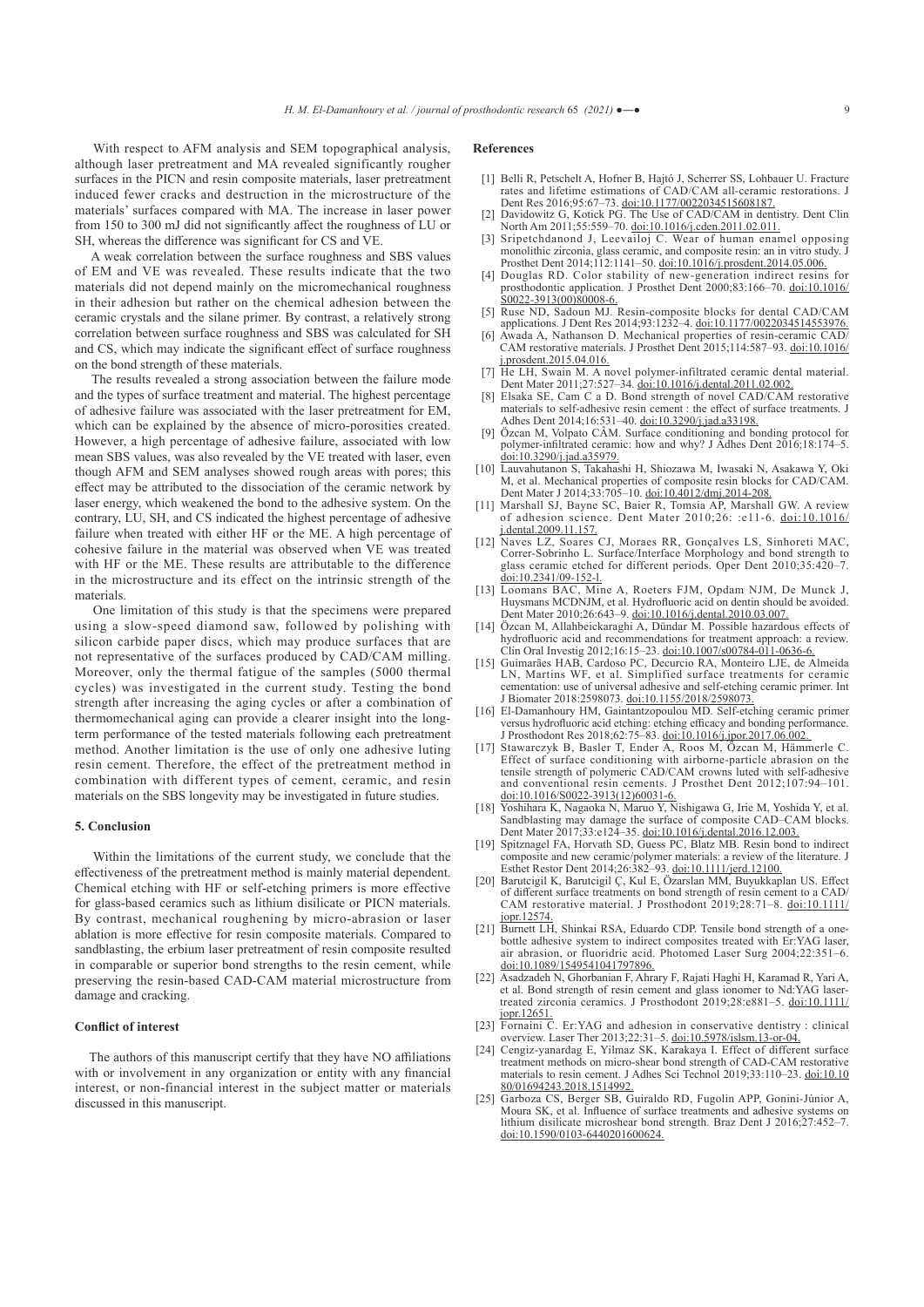With respect to AFM analysis and SEM topographical analysis, although laser pretreatment and MA revealed significantly rougher surfaces in the PICN and resin composite materials, laser pretreatment induced fewer cracks and destruction in the microstructure of the materials' surfaces compared with MA. The increase in laser power from 150 to 300 mJ did not significantly affect the roughness of LU or SH, whereas the difference was significant for CS and VE.

 A weak correlation between the surface roughness and SBS values of EM and VE was revealed. These results indicate that the two materials did not depend mainly on the micromechanical roughness in their adhesion but rather on the chemical adhesion between the ceramic crystals and the silane primer. By contrast, a relatively strong correlation between surface roughness and SBS was calculated for SH and CS, which may indicate the significant effect of surface roughness on the bond strength of these materials.

 The results revealed a strong association between the failure mode and the types of surface treatment and material. The highest percentage of adhesive failure was associated with the laser pretreatment for EM, which can be explained by the absence of micro-porosities created. However, a high percentage of adhesive failure, associated with low mean SBS values, was also revealed by the VE treated with laser, even though AFM and SEM analyses showed rough areas with pores; this effect may be attributed to the dissociation of the ceramic network by laser energy, which weakened the bond to the adhesive system. On the contrary, LU, SH, and CS indicated the highest percentage of adhesive failure when treated with either HF or the ME. A high percentage of cohesive failure in the material was observed when VE was treated with HF or the ME. These results are attributable to the difference in the microstructure and its effect on the intrinsic strength of the materials.

 One limitation of this study is that the specimens were prepared using a slow-speed diamond saw, followed by polishing with silicon carbide paper discs, which may produce surfaces that are not representative of the surfaces produced by CAD/CAM milling. Moreover, only the thermal fatigue of the samples (5000 thermal cycles) was investigated in the current study. Testing the bond strength after increasing the aging cycles or after a combination of thermomechanical aging can provide a clearer insight into the longterm performance of the tested materials following each pretreatment method. Another limitation is the use of only one adhesive luting resin cement. Therefore, the effect of the pretreatment method in combination with different types of cement, ceramic, and resin materials on the SBS longevity may be investigated in future studies.

#### **5. Conclusion**

Within the limitations of the current study, we conclude that the effectiveness of the pretreatment method is mainly material dependent. Chemical etching with HF or self-etching primers is more effective for glass-based ceramics such as lithium disilicate or PICN materials. By contrast, mechanical roughening by micro-abrasion or laser ablation is more effective for resin composite materials. Compared to sandblasting, the erbium laser pretreatment of resin composite resulted in comparable or superior bond strengths to the resin cement, while preserving the resin-based CAD-CAM material microstructure from damage and cracking.

#### **Conflict of interest**

 The authors of this manuscript certify that they have NO affiliations with or involvement in any organization or entity with any financial interest, or non-financial interest in the subject matter or materials discussed in this manuscript.

#### **References**

- [1] Belli R, Petschelt A, Hofner B, Hajtó J, Scherrer SS, Lohbauer U. Fracture rates and lifetime estimations of CAD/CAM all-ceramic restorations. J Dent Res 2016;95:67-73. doi:10.1177/0022034515608187
- [2] Davidowitz G, Kotick PG. The Use of CAD/CAM in dentistry. Dent Clin North Am 2011;55:559–70. doi:10.1016/j.cden.2011.02.011.
- Sripetchdanond J, Leevailoj C. Wear of human enamel opposing monolithic zirconia, glass ceramic, and composite resin: an in vitro study. J<br>Prosthet Dent 2014;112:1141–50. doi:10.1016/j.prosdent.2014.05.006.
- [4] Douglas RD. Color stability of new-generation indirect resins for prosthodontic application. J Prosthet Dent 2000;83:166–70. doi:10.1016/ <u>S0022-3913(00)80008-6.</u>
- [5] Ruse ND, Sadoun MJ. Resin-composite blocks for dental CAD/CAM applications. J Dent Res 2014;93:1232-4. <u>doi:10.1177/0022034514553976.</u>
- [6] Awada A, Nathanson D. Mechanical properties of resin-ceramic CAD/ CAM restorative materials. J Prosthet Dent 2015;114:587–93. doi:10.1016/ .prosdent.2015.04.016.
- [7] He LH, Swain M. A novel polymer-infiltrated ceramic dental material. Dent Mater 2011;27:527–34. doi:10.1016/j.dental.2011.02.002.
- [8] Elsaka SE, Cam C a D. Bond strength of novel CAD/CAM restorative materials to self-adhesive resin cement : the effect of surface treatments. J Adhes Dent 2014;16:531–40. <u>doi:10.3290/j.jad.a33198.</u><br>[9] Özcan M, Volpato CÂM. Surface conditioning and bonding protocol for
- polymer-infiltrated ceramic: how and why? J Adhes Dent 2016;18:174–5. doi:10.3290/j.jad.a35979.
- [10] Lauvahutanon S, Takahashi H, Shiozawa M, Iwasaki N, Asakawa Y, Oki M, et al. Mechanical properties of composite resin blocks for CAD/CAM.<br>Dent Mater J 2014;33:705–10. doi:10.4012/dmj.2014-208.
- [11] Marshall SJ, Bayne SC, Baier R, Tomsia AP, Marshall GW. A review of adhesion science. Dent Mater 2010;26: :e11-6. doi:10.1016/ j.dental.2009.11.157.
- [12] Naves LZ, Soares CJ, Moraes RR, Gonçalves LS, Sinhoreti MAC, Correr-Sobrinho L. Surface/Interface Morphology and bond strength to glass ceramic etched for different periods. Oper Dent 2010;35:420–7. doi:10.2341/09-152-l.<br>[13] Loomans BAC, Mine A, Roeters FJM, Opdam NJM, De Munck J,
- Huysmans MCDNJM, et al. Hydrofluoric acid on dentin should be avoided. Dent Mater 2010;26:643–9. doi:10.1016/j.dental.2010.03.007.
- [14] Özcan M, Allahbeickaraghi A, Dündar M. Possible hazardous effects of hydrofluoric acid and recommendations for treatment approach: a review. Clin Oral Investig 2012;16:15–23. doi:10.1007/s00784-011-0636-6.
- [15] Guimarães HAB, Cardoso PC, Decurcio RA, Monteiro LJE, de Almeida LN, Martins WF, et al. Simplified surface treatments for ceramic cementation: use of universal adhesive and self-etching ceramic primer. Int
- J Biomater 2018:2598073. doi:10.1155/2018/2598073. [16] El-Damanhoury HM, Gaintantzopoulou MD. Self-etching ceramic primer versus hydrofluoric acid etching: etching efficacy and bonding performance. J Prosthodont Res 2018;62:75–83. doi:10.1016/j.jpor.2017.06.002.
- [17] Stawarczyk B, Basler T, Ender A, Roos M, Özcan M, Hämmerle C. Effect of surface conditioning with airborne-particle abrasion on the tensile strength of polymeric CAD/CAM crowns luted with self-adhesive and conventional resin cements. J Prosthet Dent 2012;107:94–101. doi:10.1016/S0022-3913(12)60031-6.
- [18] Yoshihara K, Nagaoka N, Maruo Y, Nishigawa G, Irie M, Yoshida Y, et al. Sandblasting may damage the surface of composite CAD–CAM blocks. Dent Mater 2017;33:e124–35. doi:10.1016/j.dental.2016.12.003.
- [19] Spitznagel FA, Horvath SD, Guess PC, Blatz MB. Resin bond to indirect composite and new ceramic/polymer materials: a review of the literature. J Esthet Restor Dent 2014;26:382–93. doi:10.1111/jerd.12100.
- [20] Barutcigil K, Barutcigil Ç, Kul E, Özarslan MM, Buyukkaplan US. Effect of different surface treatments on bond strength of resin cement to a CAD/ CAM restorative material. J Prosthodont 2019;28:71–8. doi:10.1111/ jopr.12574.
- [21] Burnett LH, Shinkai RSA, Eduardo CDP. Tensile bond strength of a onebottle adhesive system to indirect composites treated with Er:YAG laser, air abrasion, or fluoridric acid. Photomed Laser Surg 2004;22:351–6. doi:10.1089/1549541041797896.
- [22] Asadzadeh N, Ghorbanian F, Ahrary F, Rajati Haghi H, Karamad R, Yari A, et al. Bond strength of resin cement and glass ionomer to Nd:YAG lasertreated zirconia ceramics. J Prosthodont 2019;28:e881–5. doi:10.1111/
- iopr.12651.<br>
[23] Fornaini C. Er:YAG and adhesion in conservative dentistry : clinical<br>
overview. Laser Ther 2013;22:31–5. <u>doi:10.5978/islsm.13-or-04.</u><br>
[24] Cengiz-yanardag E, Yilmaz SK, Karakaya I. Effect of different s
- treatment methods on micro-shear bond strength of CAD-CAM restorative materials to resin cement. J Adhes Sci Technol 2019;33:110–23. doi:10.10 80/01694243.2018.1514992.
- [25] Garboza CS, Berger SB, Guiraldo RD, Fugolin APP, Gonini-Júnior A, Moura SK, et al. Influence of surface treatments and adhesive systems on lithium disilicate microshear bond strength. Braz Dent J 2016;27:452–7. doi:10.1590/0103-6440201600624.